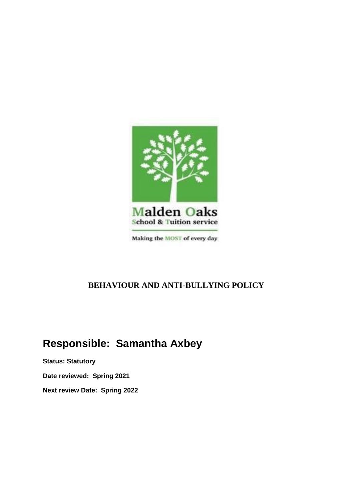

## **BEHAVIOUR AND ANTI-BULLYING POLICY**

# **Responsible: Samantha Axbey**

**Status: Statutory Date reviewed: Spring 2021 Next review Date: Spring 2022**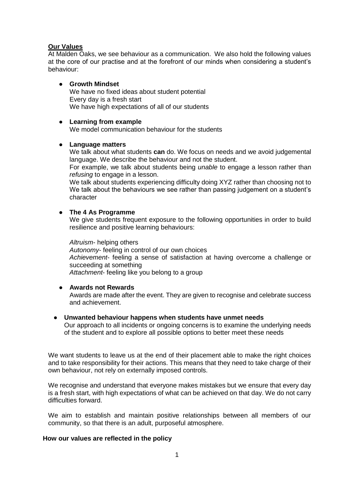#### **Our Values**

At Malden Oaks, we see behaviour as a communication. We also hold the following values at the core of our practise and at the forefront of our minds when considering a student's behaviour:

#### ● **Growth Mindset**

We have no fixed ideas about student potential Every day is a fresh start We have high expectations of all of our students

#### ● **Learning from example**

We model communication behaviour for the students

#### ● **Language matters**

We talk about what students **can** do. We focus on needs and we avoid judgemental language. We describe the behaviour and not the student.

For example, we talk about students being *unable* to engage a lesson rather than *refusing* to engage in a lesson.

We talk about students experiencing difficulty doing XYZ rather than choosing not to We talk about the behaviours we see rather than passing judgement on a student's character

#### ● **The 4 As Programme**

We give students frequent exposure to the following opportunities in order to build resilience and positive learning behaviours:

*Altruism*- helping others *Autonomy*- feeling in control of our own choices *Achievement*- feeling a sense of satisfaction at having overcome a challenge or succeeding at something *Attachment*- feeling like you belong to a group

#### ● **Awards not Rewards**

Awards are made after the event. They are given to recognise and celebrate success and achievement.

#### ● **Unwanted behaviour happens when students have unmet needs**

Our approach to all incidents or ongoing concerns is to examine the underlying needs of the student and to explore all possible options to better meet these needs

We want students to leave us at the end of their placement able to make the right choices and to take responsibility for their actions. This means that they need to take charge of their own behaviour, not rely on externally imposed controls.

We recognise and understand that everyone makes mistakes but we ensure that every day is a fresh start, with high expectations of what can be achieved on that day. We do not carry difficulties forward.

We aim to establish and maintain positive relationships between all members of our community, so that there is an adult, purposeful atmosphere.

#### **How our values are reflected in the policy**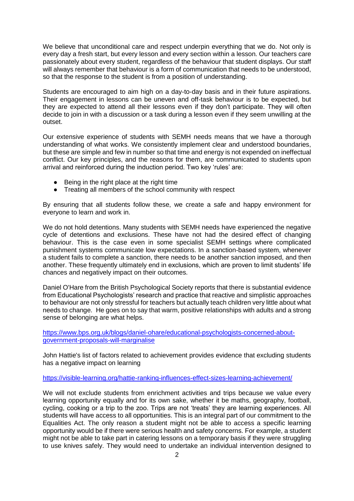We believe that unconditional care and respect underpin everything that we do. Not only is every day a fresh start, but every lesson and every section within a lesson. Our teachers care passionately about every student, regardless of the behaviour that student displays. Our staff will always remember that behaviour is a form of communication that needs to be understood, so that the response to the student is from a position of understanding.

Students are encouraged to aim high on a day-to-day basis and in their future aspirations. Their engagement in lessons can be uneven and off-task behaviour is to be expected, but they are expected to attend all their lessons even if they don't participate. They will often decide to join in with a discussion or a task during a lesson even if they seem unwilling at the outset.

Our extensive experience of students with SEMH needs means that we have a thorough understanding of what works. We consistently implement clear and understood boundaries, but these are simple and few in number so that time and energy is not expended on ineffectual conflict. Our key principles, and the reasons for them, are communicated to students upon arrival and reinforced during the induction period. Two key 'rules' are:

- Being in the right place at the right time
- Treating all members of the school community with respect

By ensuring that all students follow these, we create a safe and happy environment for everyone to learn and work in.

We do not hold detentions. Many students with SEMH needs have experienced the negative cycle of detentions and exclusions. These have not had the desired effect of changing behaviour. This is the case even in some specialist SEMH settings where complicated punishment systems communicate low expectations. In a sanction-based system, whenever a student fails to complete a sanction, there needs to be another sanction imposed, and then another. These frequently ultimately end in exclusions, which are proven to limit students' life chances and negatively impact on their outcomes.

Daniel O'Hare from the British Psychological Society reports that there is substantial evidence from Educational Psychologists' research and practice that reactive and simplistic approaches to behaviour are not only stressful for teachers but actually teach children very little about what needs to change. He goes on to say that warm, positive relationships with adults and a strong sense of belonging are what helps.

[https://www.bps.org.uk/blogs/daniel-ohare/educational-psychologists-concerned-about](https://www.bps.org.uk/blogs/daniel-ohare/educational-psychologists-concerned-about-government-proposals-will-marginalise)[government-proposals-will-marginalise](https://www.bps.org.uk/blogs/daniel-ohare/educational-psychologists-concerned-about-government-proposals-will-marginalise)

John Hattie's list of factors related to achievement provides evidence that excluding students has a negative impact on learning

<https://visible-learning.org/hattie-ranking-influences-effect-sizes-learning-achievement/>

We will not exclude students from enrichment activities and trips because we value every learning opportunity equally and for its own sake, whether it be maths, geography, football, cycling, cooking or a trip to the zoo. Trips are not 'treats' they are learning experiences. All students will have access to all opportunities. This is an integral part of our commitment to the Equalities Act. The only reason a student might not be able to access a specific learning opportunity would be if there were serious health and safety concerns. For example, a student might not be able to take part in catering lessons on a temporary basis if they were struggling to use knives safely. They would need to undertake an individual intervention designed to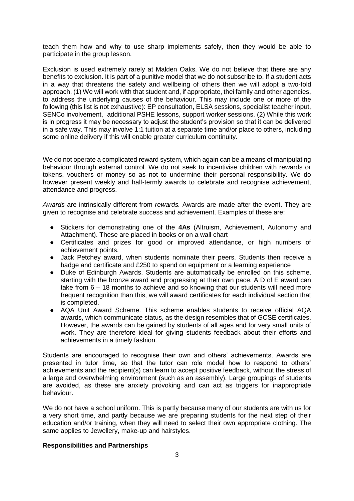teach them how and why to use sharp implements safely, then they would be able to participate in the group lesson.

Exclusion is used extremely rarely at Malden Oaks. We do not believe that there are any benefits to exclusion. It is part of a punitive model that we do not subscribe to. If a student acts in a way that threatens the safety and wellbeing of others then we will adopt a two-fold approach. (1) We will work with that student and, if appropriate, thei family and other agencies, to address the underlying causes of the behaviour. This may include one or more of the following (this list is not exhaustive): EP consultation, ELSA sessions, specialist teacher input, SENCo involvement, additional PSHE lessons, support worker sessions. (2) While this work is in progress it may be necessary to adjust the student's provision so that it can be delivered in a safe way. This may involve 1:1 tuition at a separate time and/or place to others, including some online delivery if this will enable greater curriculum continuity.

We do not operate a complicated reward system, which again can be a means of manipulating behaviour through external control. We do not seek to incentivise children with rewards or tokens, vouchers or money so as not to undermine their personal responsibility. We do however present weekly and half-termly awards to celebrate and recognise achievement. attendance and progress.

*Awards* are intrinsically different from *rewards.* Awards are made after the event. They are given to recognise and celebrate success and achievement. Examples of these are:

- Stickers for demonstrating one of the **4As** (Altruism, Achievement, Autonomy and Attachment). These are placed in books or on a wall chart
- Certificates and prizes for good or improved attendance, or high numbers of achievement points.
- Jack Petchey award, when students nominate their peers. Students then receive a badge and certificate and £250 to spend on equipment or a learning experience
- Duke of Edinburgh Awards. Students are automatically be enrolled on this scheme, starting with the bronze award and progressing at their own pace. A D of E award can take from 6 – 18 months to achieve and so knowing that our students will need more frequent recognition than this, we will award certificates for each individual section that is completed.
- AQA Unit Award Scheme. This scheme enables students to receive official AQA awards, which communicate status, as the design resembles that of GCSE certificates. However, the awards can be gained by students of all ages and for very small units of work. They are therefore ideal for giving students feedback about their efforts and achievements in a timely fashion.

Students are encouraged to recognise their own and others' achievements. Awards are presented in tutor time, so that the tutor can role model how to respond to others' achievements and the recipient(s) can learn to accept positive feedback, without the stress of a large and overwhelming environment (such as an assembly). Large groupings of students are avoided, as these are anxiety provoking and can act as triggers for inappropriate behaviour.

We do not have a school uniform. This is partly because many of our students are with us for a very short time, and partly because we are preparing students for the next step of their education and/or training, when they will need to select their own appropriate clothing. The same applies to Jewellery, make-up and hairstyles.

#### **Responsibilities and Partnerships**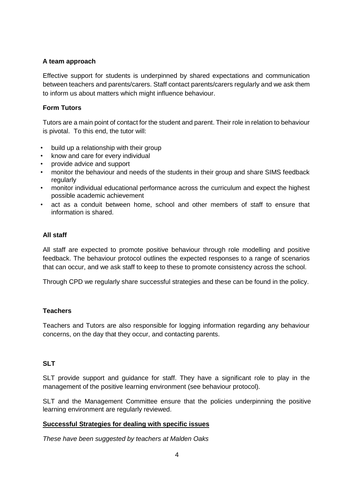#### **A team approach**

Effective support for students is underpinned by shared expectations and communication between teachers and parents/carers. Staff contact parents/carers regularly and we ask them to inform us about matters which might influence behaviour.

#### **Form Tutors**

Tutors are a main point of contact for the student and parent. Their role in relation to behaviour is pivotal. To this end, the tutor will:

- build up a relationship with their group
- know and care for every individual
- provide advice and support
- monitor the behaviour and needs of the students in their group and share SIMS feedback regularly
- monitor individual educational performance across the curriculum and expect the highest possible academic achievement
- act as a conduit between home, school and other members of staff to ensure that information is shared.

#### **All staff**

All staff are expected to promote positive behaviour through role modelling and positive feedback. The behaviour protocol outlines the expected responses to a range of scenarios that can occur, and we ask staff to keep to these to promote consistency across the school.

Through CPD we regularly share successful strategies and these can be found in the policy.

#### **Teachers**

Teachers and Tutors are also responsible for logging information regarding any behaviour concerns, on the day that they occur, and contacting parents.

### **SLT**

SLT provide support and guidance for staff. They have a significant role to play in the management of the positive learning environment (see behaviour protocol).

SLT and the Management Committee ensure that the policies underpinning the positive learning environment are regularly reviewed.

#### **Successful Strategies for dealing with specific issues**

*These have been suggested by teachers at Malden Oaks*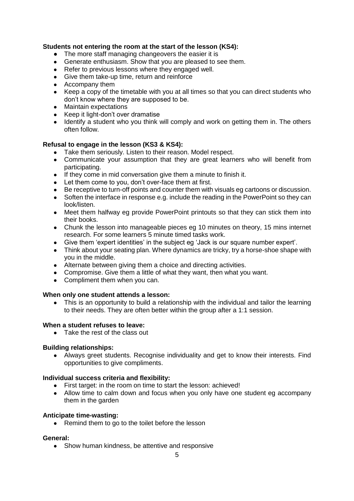#### **Students not entering the room at the start of the lesson (KS4):**

- The more staff managing changeovers the easier it is
- Generate enthusiasm. Show that you are pleased to see them.
- Refer to previous lessons where they engaged well.
- Give them take-up time, return and reinforce
- Accompany them
- Keep a copy of the timetable with you at all times so that you can direct students who don't know where they are supposed to be.
- Maintain expectations
- Keep it light-don't over dramatise
- Identify a student who you think will comply and work on getting them in. The others often follow.

#### **Refusal to engage in the lesson (KS3 & KS4):**

- Take them seriously. Listen to their reason. Model respect.
- Communicate your assumption that they are great learners who will benefit from participating.
- If they come in mid conversation give them a minute to finish it.
- Let them come to you, don't over-face them at first.
- Be receptive to turn-off points and counter them with visuals eg cartoons or discussion.
- Soften the interface in response e.g. include the reading in the PowerPoint so they can look/listen.
- Meet them halfway eg provide PowerPoint printouts so that they can stick them into their books.
- Chunk the lesson into manageable pieces eg 10 minutes on theory, 15 mins internet research. For some learners 5 minute timed tasks work.
- Give them 'expert identities' in the subject eg 'Jack is our square number expert'.
- Think about your seating plan. Where dynamics are tricky, try a horse-shoe shape with you in the middle.
- Alternate between giving them a choice and directing activities.
- Compromise. Give them a little of what they want, then what you want.
- Compliment them when you can.

#### **When only one student attends a lesson:**

• This is an opportunity to build a relationship with the individual and tailor the learning to their needs. They are often better within the group after a 1:1 session.

#### **When a student refuses to leave:**

● Take the rest of the class out

#### **Building relationships:**

● Always greet students. Recognise individuality and get to know their interests. Find opportunities to give compliments.

#### **Individual success criteria and flexibility:**

- First target: in the room on time to start the lesson: achieved!
- Allow time to calm down and focus when you only have one student eg accompany them in the garden

#### **Anticipate time-wasting:**

■ Remind them to go to the toilet before the lesson

#### **General:**

• Show human kindness, be attentive and responsive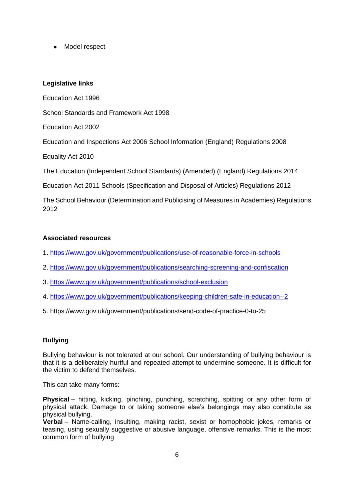● Model respect

#### **Legislative links**

Education Act 1996 School Standards and Framework Act 1998 Education Act 2002 Education and Inspections Act 2006 School Information (England) Regulations 2008 Equality Act 2010 The Education (Independent School Standards) (Amended) (England) Regulations 2014 Education Act 2011 Schools (Specification and Disposal of Articles) Regulations 2012

The School Behaviour (Determination and Publicising of Measures in Academies) Regulations 2012

#### **Associated resources**

- 1.<https://www.gov.uk/government/publications/use-of-reasonable-force-in-schools>
- 2.<https://www.gov.uk/government/publications/searching-screening-and-confiscation>
- 3.<https://www.gov.uk/government/publications/school-exclusion>
- 4.<https://www.gov.uk/government/publications/keeping-children-safe-in-education--2>
- 5. https://www.gov.uk/government/publications/send-code-of-practice-0-to-25

### **Bullying**

Bullying behaviour is not tolerated at our school. Our understanding of bullying behaviour is that it is a deliberately hurtful and repeated attempt to undermine someone. It is difficult for the victim to defend themselves.

This can take many forms:

**Physical** – hitting, kicking, pinching, punching, scratching, spitting or any other form of physical attack. Damage to or taking someone else's belongings may also constitute as physical bullying.

**Verbal** – Name-calling, insulting, making racist, sexist or homophobic jokes, remarks or teasing, using sexually suggestive or abusive language, offensive remarks. This is the most common form of bullying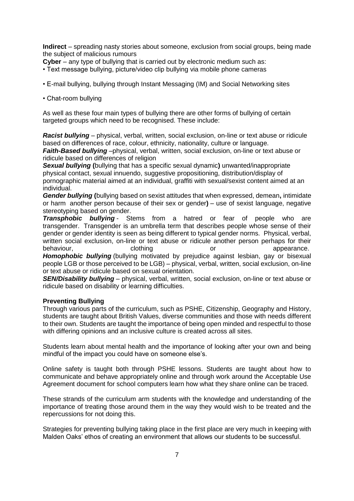**Indirect** – spreading nasty stories about someone, exclusion from social groups, being made the subject of malicious rumours

- **Cyber** any type of bullying that is carried out by electronic medium such as:
- Text message bullying, picture/video clip bullying via mobile phone cameras
- E-mail bullying, bullying through Instant Messaging (IM) and Social Networking sites
- Chat-room bullying

As well as these four main types of bullying there are other forms of bullying of certain targeted groups which need to be recognised. These include:

*Racist bullying* – physical, verbal, written, social exclusion, on-line or text abuse or ridicule based on differences of race, colour, ethnicity, nationality, culture or language.

*Faith-Based bullying* –physical, verbal, written, social exclusion, on-line or text abuse or ridicule based on differences of religion

*Sexual bullying* **(**bullying that has a specific sexual dynamic**)** unwanted/inappropriate physical contact, sexual innuendo, suggestive propositioning, distribution/display of pornographic material aimed at an individual, graffiti with sexual/sexist content aimed at an individual.

*Gender bullying* **(**bullying based on sexist attitudes that when expressed, demean**,** intimidate or harm another person because of their sex or gender**)** – use of sexist language, negative stereotyping based on gender.

*Transphobic bullying* - Stems from a hatred or fear of people who are transgender. Transgender is an umbrella term that describes people whose sense of their gender or gender identity is seen as being different to typical gender norms. Physical, verbal, written social exclusion, on-line or text abuse or ridicule another person perhaps for their behaviour, behaviour, clothing contract or appearance.

*Homophobic bullying* (bullying motivated by prejudice against lesbian, gay or bisexual people LGB or those perceived to be LGB) – physical, verbal, written, social exclusion, on-line or text abuse or ridicule based on sexual orientation.

*SEN/Disability bullying* – physical, verbal, written, social exclusion, on-line or text abuse or ridicule based on disability or learning difficulties.

#### **Preventing Bullying**

Through various parts of the curriculum, such as PSHE, Citizenship, Geography and History, students are taught about British Values, diverse communities and those with needs different to their own. Students are taught the importance of being open minded and respectful to those with differing opinions and an inclusive culture is created across all sites.

Students learn about mental health and the importance of looking after your own and being mindful of the impact you could have on someone else's.

Online safety is taught both through PSHE lessons. Students are taught about how to communicate and behave appropriately online and through work around the Acceptable Use Agreement document for school computers learn how what they share online can be traced.

These strands of the curriculum arm students with the knowledge and understanding of the importance of treating those around them in the way they would wish to be treated and the repercussions for not doing this.

Strategies for preventing bullying taking place in the first place are very much in keeping with Malden Oaks' ethos of creating an environment that allows our students to be successful.